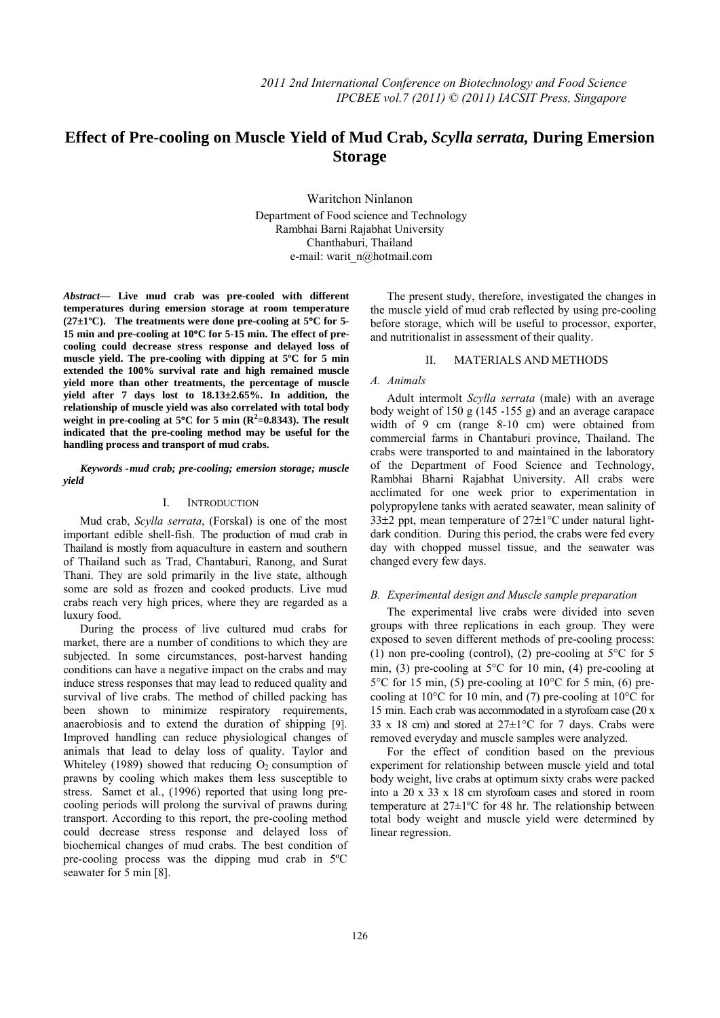# **Effect of Pre-cooling on Muscle Yield of Mud Crab,** *Scylla serrata,* **During Emersion**   **Storage**

Waritchon Ninlanon Department of Food science and Technology Rambhai Barni Rajabhat University Chanthaburi, Thailand e-mail: warit\_n@hotmail.com

*Abstract***— Live mud crab was pre-cooled with different temperatures during emersion storage at room temperature (27±1ºC). The treatments were done pre-cooling at 5**°**C for 5- 15 min and pre-cooling at 10**°**C for 5-15 min. The effect of precooling could decrease stress response and delayed loss of muscle yield. The pre-cooling with dipping at 5ºC for 5 min extended the 100% survival rate and high remained muscle yield more than other treatments, the percentage of muscle yield after 7 days lost to 18.13±2.65%. In addition, the relationship of muscle yield was also correlated with total body**  weight in pre-cooling at  $5^{\circ}$ C for 5 min ( $\mathbb{R}^2$ =0.8343). The result **indicated that the pre-cooling method may be useful for the handling process and transport of mud crabs.** 

*yield Keywords - mud crab; pre-cooling; emersion storage; muscle* 

### I. INTRODUCTION

Mud crab, *Scylla serrata*, (Forskal) is one of the most important edible shell-fish. The production of mud crab in Thailand is mostly from aquaculture in eastern and southern of Thailand such as Trad, Chantaburi, Ranong, and Surat Thani. They are sold primarily in the live state, although some are sold as frozen and cooked products. Live mud crabs reach very high prices, where they are regarded as a luxury food.

During the process of live cultured mud crabs for market, there are a number of conditions to which they are subjected. In some circumstances, post-harvest handing conditions can have a negative impact on the crabs and may induce stress responses that may lead to reduced quality and survival of live crabs. The method of chilled packing has been shown to minimize respiratory requirements, anaerobiosis and to extend the duration of shipping [9]. Improved handling can reduce physiological changes of animals that lead to delay loss of quality. Taylor and Whiteley (1989) showed that reducing  $O_2$  consumption of prawns by cooling which makes them less susceptible to stress. Samet et al., (1996) reported that using long precooling periods will prolong the survival of prawns during transport. According to this report, the pre-cooling method could decrease stress response and delayed loss of biochemical changes of mud crabs. The best condition of pre-cooling process was the dipping mud crab in 5ºC seawater for 5 min [8].

The present study, therefore, investigated the changes in the muscle yield of mud crab reflected by using pre-cooling before storage, which will be useful to processor, exporter, and nutritionalist in assessment of their quality.

#### II. MATERIALS AND METHODS

## *A. Animals*

Adult intermolt *Scylla serrata* (male) with an average body weight of 150 g (145 -155 g) and an average carapace width of 9 cm (range 8-10 cm) were obtained from commercial farms in Chantaburi province, Thailand. The crabs were transported to and maintained in the laboratory of the Department of Food Science and Technology, Rambhai Bharni Rajabhat University. All crabs were acclimated for one week prior to experimentation in polypropylene tanks with aerated seawater, mean salinity of 33±2 ppt, mean temperature of 27±1°C under natural lightdark condition. During this period, the crabs were fed every day with chopped mussel tissue, and the seawater was changed every few days.

#### *B. Experimental design and Muscle sample preparation*

The experimental live crabs were divided into seven groups with three replications in each group. They were exposed to seven different methods of pre-cooling process: (1) non pre-cooling (control), (2) pre-cooling at 5°C for 5 min, (3) pre-cooling at 5°C for 10 min, (4) pre-cooling at  $5^{\circ}$ C for 15 min, (5) pre-cooling at 10 $^{\circ}$ C for 5 min, (6) precooling at  $10^{\circ}$ C for 10 min, and (7) pre-cooling at  $10^{\circ}$ C for 15 min. Each crab was accommodated in a styrofoam case (20 x 33 x 18 cm) and stored at  $27 \pm 1$ °C for 7 days. Crabs were removed everyday and muscle samples were analyzed.

For the effect of condition based on the previous experiment for relationship between muscle yield and total body weight, live crabs at optimum sixty crabs were packed into a 20 x 33 x 18 cm styrofoam cases and stored in room temperature at 27±1ºC for 48 hr. The relationship between total body weight and muscle yield were determined by linear regression.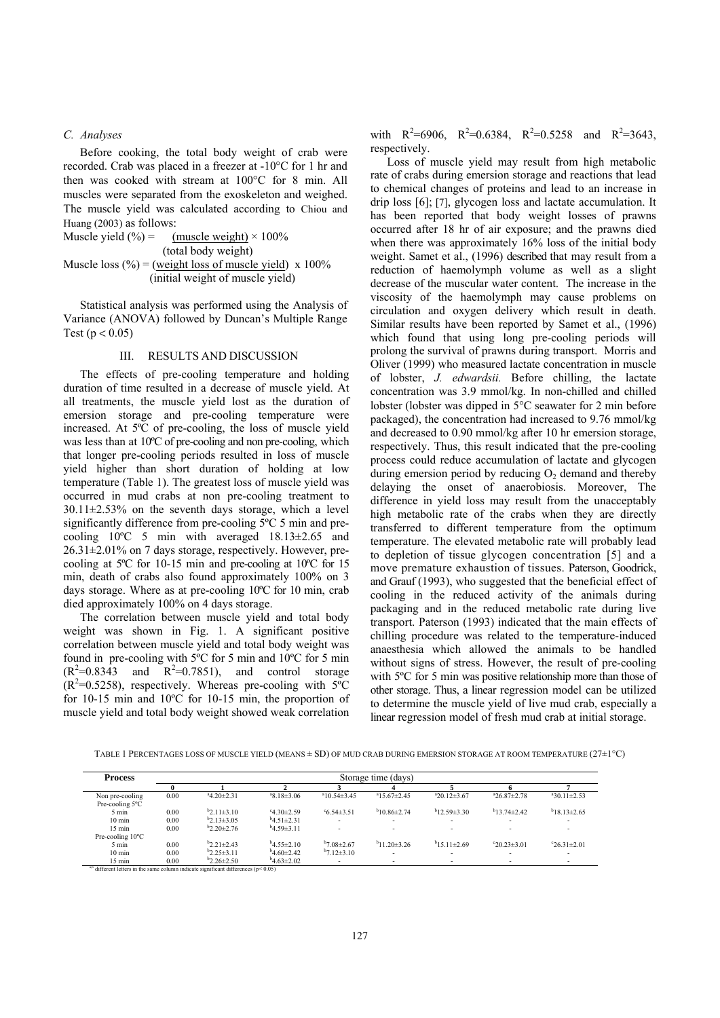#### *C. Analyses*

Before cooking, the total body weight of crab were recorded. Crab was placed in a freezer at -10°C for 1 hr and then was cooked with stream at 100°C for 8 min. All muscles were separated from the exoskeleton and weighed. The muscle yield was calculated according to Chiou and Huang (2003) as follows:

Musicle yield 
$$
(*) =
$$

\n(total body weight)

\nMusicle loss  $(*) =$ 

\n(total body weight)

\n(initial weight of muscle yield)

\nx 100%

\n(initial weight of muscle yield)

Statistical analysis was performed using the Analysis of Variance (ANOVA) followed by Duncan's Multiple Range Test ( $p < 0.05$ )

#### III. RESULTS AND DISCUSSION

The effects of pre-cooling temperature and holding duration of time resulted in a decrease of muscle yield. At all treatments, the muscle yield lost as the duration of emersion storage and pre-cooling temperature were increased. At 5ºC of pre-cooling, the loss of muscle yield was less than at 10ºC of pre-cooling and non pre-cooling, which that longer pre-cooling periods resulted in loss of muscle yield higher than short duration of holding at low temperature (Table 1). The greatest loss of muscle yield was occurred in mud crabs at non pre-cooling treatment to  $30.11 \pm 2.53\%$  on the seventh days storage, which a level significantly difference from pre-cooling 5ºC 5 min and precooling 10ºC 5 min with averaged 18.13±2.65 and 26.31±2.01% on 7 days storage, respectively. However, precooling at 5ºC for 10-15 min and pre-cooling at 10ºC for 15 min, death of crabs also found approximately 100% on 3 days storage. Where as at pre-cooling 10ºC for 10 min, crab died approximately 100% on 4 days storage.

The correlation between muscle yield and total body weight was shown in Fig. 1. A significant positive correlation between muscle yield and total body weight was found in pre-cooling with 5ºC for 5 min and 10ºC for 5 min  $(R^2=0.8343$  and  $R^2=0.7851$ , and control storage  $(R^2=0.5258)$ , respectively. Whereas pre-cooling with  $5^{\circ}$ C for 10-15 min and 10ºC for 10-15 min, the proportion of muscle yield and total body weight showed weak correlation

with  $R^2=6906$ ,  $R^2=0.6384$ ,  $R^2=0.5258$  and  $R^2=3643$ , respectively.

Loss of muscle yield may result from high metabolic rate of crabs during emersion storage and reactions that lead to chemical changes of proteins and lead to an increase in drip loss [6]; [7], glycogen loss and lactate accumulation. It has been reported that body weight losses of prawns occurred after 18 hr of air exposure; and the prawns died when there was approximately 16% loss of the initial body weight. Samet et al., (1996) described that may result from a reduction of haemolymph volume as well as a slight decrease of the muscular water content. The increase in the viscosity of the haemolymph may cause problems on circulation and oxygen delivery which result in death. Similar results have been reported by Samet et al., (1996) which found that using long pre-cooling periods will prolong the survival of prawns during transport. Morris and Oliver (1999) who measured lactate concentration in muscle of lobster, *J. edwardsii.* Before chilling, the lactate concentration was 3.9 mmol/kg. In non-chilled and chilled lobster (lobster was dipped in 5°C seawater for 2 min before packaged), the concentration had increased to 9.76 mmol/kg and decreased to 0.90 mmol/kg after 10 hr emersion storage, respectively. Thus, this result indicated that the pre-cooling process could reduce accumulation of lactate and glycogen during emersion period by reducing  $O_2$  demand and thereby delaying the onset of anaerobiosis. Moreover, The difference in yield loss may result from the unacceptably high metabolic rate of the crabs when they are directly transferred to different temperature from the optimum temperature. The elevated metabolic rate will probably lead to depletion of tissue glycogen concentration [5] and a move premature exhaustion of tissues. Paterson, Goodrick, and Grauf (1993), who suggested that the beneficial effect of cooling in the reduced activity of the animals during packaging and in the reduced metabolic rate during live transport. Paterson (1993) indicated that the main effects of chilling procedure was related to the temperature-induced anaesthesia which allowed the animals to be handled without signs of stress. However, the result of pre-cooling with 5<sup>o</sup>C for 5 min was positive relationship more than those of other storage. Thus, a linear regression model can be utilized to determine the muscle yield of live mud crab, especially a linear regression model of fresh mud crab at initial storage.

TABLE 1 PERCENTAGES LOSS OF MUSCLE YIELD (MEANS ± SD) OF MUD CRAB DURING EMERSION STORAGE AT ROOM TEMPERATURE (27±1°C)

| <b>Process</b>                | Storage time (days) |                  |                     |                           |                      |                          |                        |                      |
|-------------------------------|---------------------|------------------|---------------------|---------------------------|----------------------|--------------------------|------------------------|----------------------|
|                               | v                   |                  |                     |                           |                      |                          |                        |                      |
| Non pre-cooling               | 0.00                | $4.20 \pm 2.31$  | $a$ 8.18 $\pm$ 3.06 | $a_{10.54\pm3.45}$        | $415.67 \pm 2.45$    | $a_{20.12\pm3.67}$       | $26.87 \pm 2.78$       | $a$ 30.11 $\pm$ 2.53 |
| Pre-cooling 5°C               |                     |                  |                     |                           |                      |                          |                        |                      |
| 5 min                         | 0.00                | $b2.11\pm3.10$   | $-4.30 \pm 2.59$    | $\degree$ 6.54 $\pm$ 3.51 | $b_{10}86\pm2.74$    | $b_{12}59\pm330$         | $b$ 13 74 $\pm$ 2 42   | $b$ 18.13 $\pm$ 2.65 |
| $10 \text{ min}$              | 0.00                | $b2.13 \pm 3.05$ | $b$ 4.51 $\pm$ 2.31 |                           |                      |                          |                        | ۰                    |
| $15 \text{ min}$              | 0.00                | $b2.20 \pm 2.76$ | $b$ 4.59 $\pm$ 3.11 |                           |                      |                          |                        |                      |
| Pre-cooling 10°C              |                     |                  |                     |                           |                      |                          |                        |                      |
| 5 min                         | 0.00                | $b2.21 \pm 2.43$ | $b$ 4.55 $\pm$ 2.10 | $b7.08 \pm 2.67$          | $b$ 11 20 $\pm$ 3 26 | $b$ 15.11±2.69           | $^{\circ}20.23\pm3.01$ | $26.31 \pm 2.01$     |
| $10 \text{ min}$              | 0.00                | $b2.25 \pm 3.11$ | $b$ 4 60 $\pm$ 2 42 | $b7.12\pm3.10$            |                      | $\overline{\phantom{0}}$ |                        |                      |
| $15 \text{ min}$<br>$20 - 12$ | 0.00                | $b2.26 \pm 2.50$ | $b$ 4.63 $\pm$ 2.02 |                           |                      | $\overline{\phantom{a}}$ |                        |                      |

ent letters in the same column indicate significant differences ( $p$  < 0.05)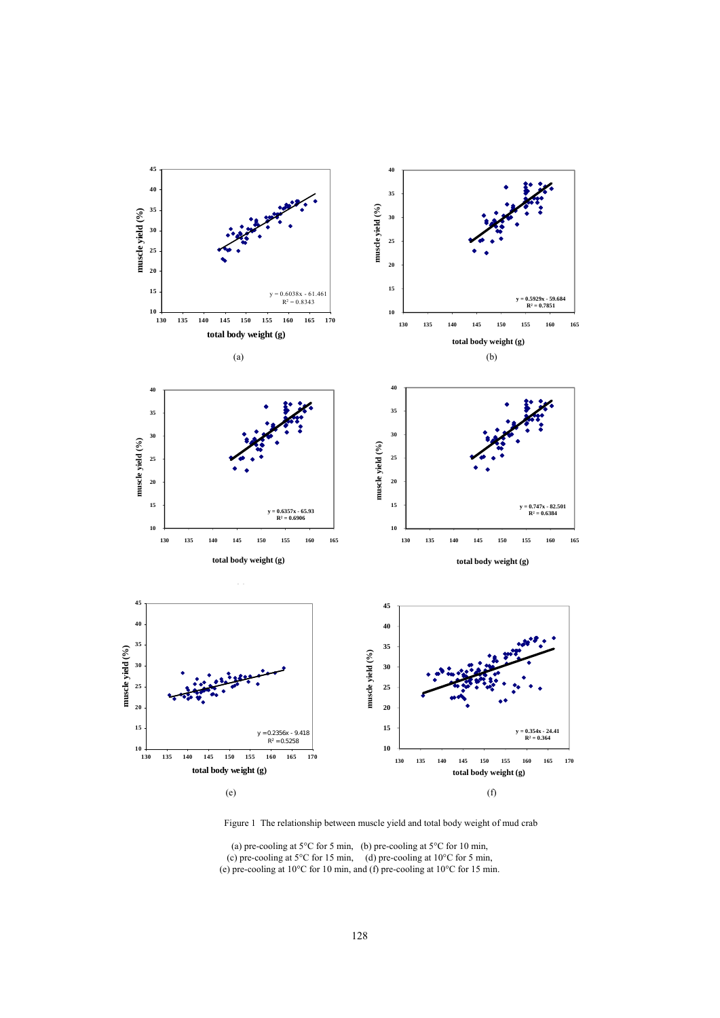

Figure 1 The relationship between muscle yield and total body weight of mud crab

(a) pre-cooling at  $5^{\circ}$ C for 5 min, (b) pre-cooling at  $5^{\circ}$ C for 10 min, (c) pre-cooling at  $5^{\circ}$ C for 15 min, (d) pre-cooling at  $10^{\circ}$ C for 5 min, (e) pre-cooling at 10°C for 10 min, and (f) pre-cooling at 10°C for 15 min.